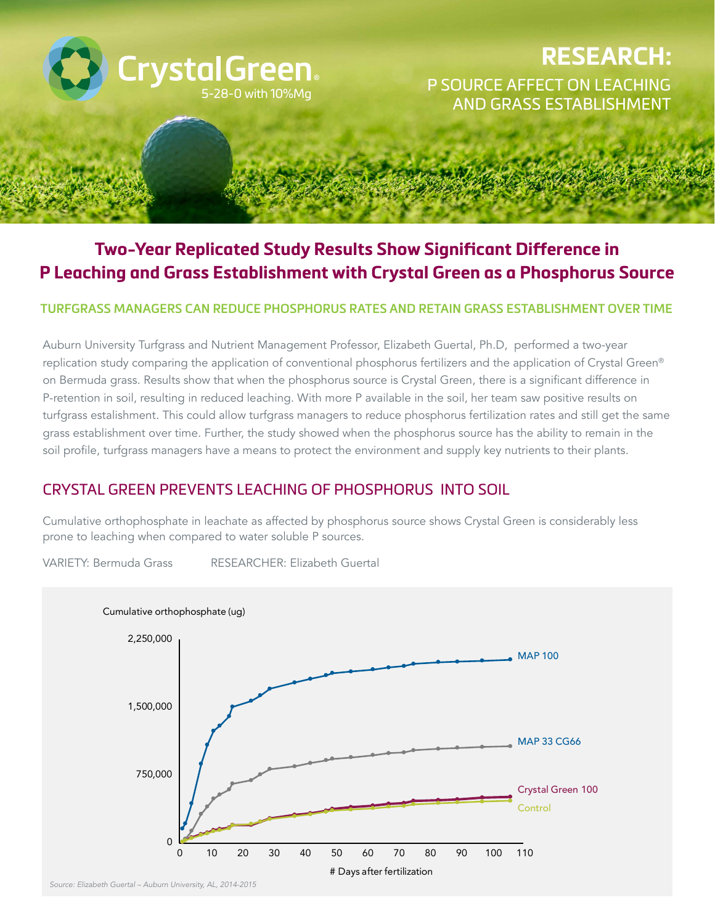

# **Two-Year Replicated Study Results Show Significant Difference in P Leaching and Grass Establishment with Crystal Green as a Phosphorus Source**

#### **TURFGRASS MANAGERS CAN REDUCE PHOSPHORUS RATES AND RETAIN GRASS ESTABLISHMENT OVER TIME**

Auburn University Turfgrass and Nutrient Management Professor, Elizabeth Guertal, Ph.D, performed a two-year replication study comparing the application of conventional phosphorus fertilizers and the application of Crystal Green® on Bermuda grass. Results show that when the phosphorus source is Crystal Green, there is a significant difference in P-retention in soil, resulting in reduced leaching. With more P available in the soil, her team saw positive results on turfgrass estalishment. This could allow turfgrass managers to reduce phosphorus fertilization rates and still get the same grass establishment over time. Further, the study showed when the phosphorus source has the ability to remain in the soil profile, turfgrass managers have a means to protect the environment and supply key nutrients to their plants.

### CRYSTAL GREEN PREVENTS LEACHING OF PHOSPHORUS INTO SOIL

prone to leaching when compared to water soluble P sources. Cumulative orthophosphate in leachate as affected by phosphorus source shows Crystal Green is considerably less

VARIETY: Bermuda Grass RESEARCHER: Elizabeth Guertal



*Source: Elizabeth Guertal – Auburn University, AL, 2014-2015*